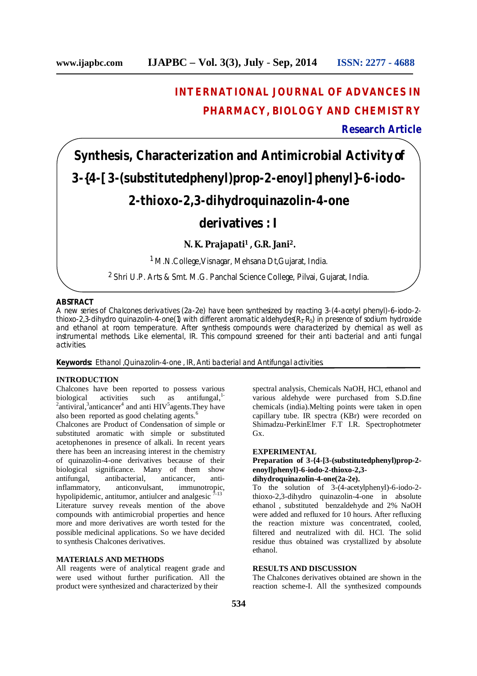# **INTERNATIONAL JOURNAL OF ADVANCES IN PHARMACY, BIOLOGY AND CHEMISTRY**

**Research Article**

# **Synthesis, Characterization and Antimicrobial Activity of 3-{4-[3-(substitutedphenyl)prop-2-enoyl]phenyl}-6-iodo-2-thioxo-2,3-dihydroquinazolin-4-one**

## **derivatives : I**

### **N. K. Prajapati <sup>1</sup> , G.R. Jani 2.**

<sup>1</sup> M.N.College,Visnagar, Mehsana Dt,Gujarat, India.

2 Shri U.P. Arts & Smt. M.G. Panchal Science College, Pilvai, Gujarat, India.

#### **ABSTRACT**

A new series of Chalcones derivatives (2a-2e) have been synthesized by reacting 3-(4-acetyl phenyl)-6-iodo-2 thioxo-2,3-dihydro quinazolin-4-one(1) with different aromatic aldehydes( $R_1-R_5$ ) in presence of sodium hydroxide and ethanol at room temperature. After synthesis compounds were characterized by chemical as well as instrumental methods. Like elemental, IR. This compound screened for their anti bacterial and anti fungal activities.

**Keywords:** Ethanol ,Quinazolin-4-one , IR, Anti bacterial and Antifungal activities.

#### **INTRODUCTION**

Chalcones have been reported to possess various biological activities such as antifungal,<sup>1</sup> <sup>2</sup> antiviral,<sup>3</sup> anticancer<sup>4</sup> and anti  $HIV<sup>5</sup>$  agents. They have also been reported as good chelating agents. 6

Chalcones are Product of Condensation of simple or substituted aromatic with simple or substituted acetophenones in presence of alkali. In recent years there has been an increasing interest in the chemistry of quinazolin-4-one derivatives because of their biological significance. Many of them show<br>antifungal, antibacterial, anticancer, antiantifungal, antibacterial, anticancer, anti-<br>inflammatory, anticonvulsant, immunotropic, anticonvulsant, hypolipidemic, antitumor, antiulcer and analgesic  $\frac{7-13}{ }$ Literature survey reveals mention of the above compounds with antimicrobial properties and hence more and more derivatives are worth tested for the possible medicinal applications. So we have decided to synthesis Chalcones derivatives.

#### **MATERIALS AND METHODS**

All reagents were of analytical reagent grade and were used without further purification. All the product were synthesized and characterized by their

spectral analysis, Chemicals NaOH, HCl, ethanol and various aldehyde were purchased from S.D.fine chemicals (india).Melting points were taken in open capillary tube. IR spectra (KBr) were recorded on Shimadzu-PerkinElmer F.T I.R. Spectrophotmeter G<sub>x</sub>

#### **EXPERIMENTAL**

**Preparation of 3-{4-[3-(substitutedphenyl)prop-2 enoyl]phenyl}-6-iodo-2-thioxo-2,3 dihydroquinazolin-4-one(2a-2e).**

To the solution of 3-(4-acetylphenyl)-6-iodo-2 thioxo-2,3-dihydro quinazolin-4-one in absolute ethanol , substituted benzaldehyde and 2% NaOH were added and refluxed for 10 hours. After refluxing the reaction mixture was concentrated, cooled, filtered and neutralized with dil. HCl. The solid residue thus obtained was crystallized by absolute ethanol.

#### **RESULTS AND DISCUSSION**

The Chalcones derivatives obtained are shown in the reaction scheme-I. All the synthesized compounds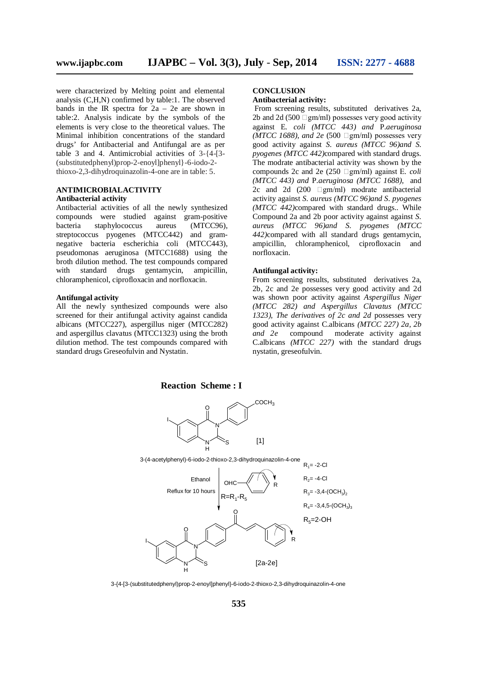were characterized by Melting point and elemental analysis (C,H,N) confirmed by table:1. The observed bands in the IR spectra for 2a – 2e are shown in table:2. Analysis indicate by the symbols of the elements is very close to the theoretical values. The Minimal inhibition concentrations of the standard drugs' for Antibacterial and Antifungal are as per table 3 and 4. Antimicrobial activities of 3-{4-[3- (substitutedphenyl)prop-2-enoyl]phenyl}-6-iodo-2 thioxo-2,3-dihydroquinazolin-4-one are in table: 5.

#### **ANTIMICROBIALACTIVITY Antibacterial activity**

Antibacterial activities of all the newly synthesized compounds were studied against gram-positive<br>bacteria staphylococcus aureus (MTCC96). bacteria staphylococcus streptococcus pyogenes (MTCC442) and gramnegative bacteria escherichia coli (MTCC443), pseudomonas aeruginosa (MTCC1688) using the broth dilution method. The test compounds compared with standard drugs gentamycin, ampicillin, chloramphenicol, ciprofloxacin and norfloxacin.

#### **Antifungal activity**

All the newly synthesized compounds were also screened for their antifungal activity against candida albicans (MTCC227), aspergillus niger (MTCC282) and aspergillus clavatus (MTCC1323) using the broth dilution method. The test compounds compared with standard drugs Greseofulvin and Nystatin.

#### **CONCLUSION Antibacterial activity:**

From screening results, substituted derivatives 2a, 2b and 2d (500  $\Box$ gm/ml) possesses very good activity against E*. coli (MTCC 443) and* P*.aeruginosa*  $(MTCC$  1688), and 2e (500  $\Box$ gm/ml) possesses very good activity against *S. aureus (MTCC 96)and S. pyogenes (MTCC 442)*compared with standard drugs. The modrate antibacterial activity was shown by the compounds 2c and 2e (250  $\Box$ gm/ml) against E. *coli (MTCC 443) and* P*.aeruginosa (MTCC 1688),* and 2c and 2d  $(200 \Box gm/ml)$  modrate antibacterial activity against *S. aureus (MTCC 96)and S. pyogenes (MTCC 442)*compared with standard drugs.. While Compound 2a and 2b poor activity against against *S. aureus (MTCC 96)and S. pyogenes (MTCC 442)*compared with all standard drugs gentamycin, ampicillin, chloramphenicol, ciprofloxacin and norfloxacin.

#### **Antifungal activity:**

From screening results, substituted derivatives 2a, 2b, 2c and 2e possesses very good activity and 2d was shown poor activity against *Aspergillus Niger (MTCC 282) and Aspergillus Clavatus (MTCC 1323), The derivatives of 2c and 2d* possesses very good activity against C.albicans *(MTCC 227) 2a, 2b and 2e* compound moderate activity against C.albicans *(MTCC 227)* with the standard drugs nystatin, greseofulvin.



3-{4-[3-(substitutedphenyl)prop-2-enoyl]phenyl}-6-iodo-2-thioxo-2,3-dihydroquinazolin-4-one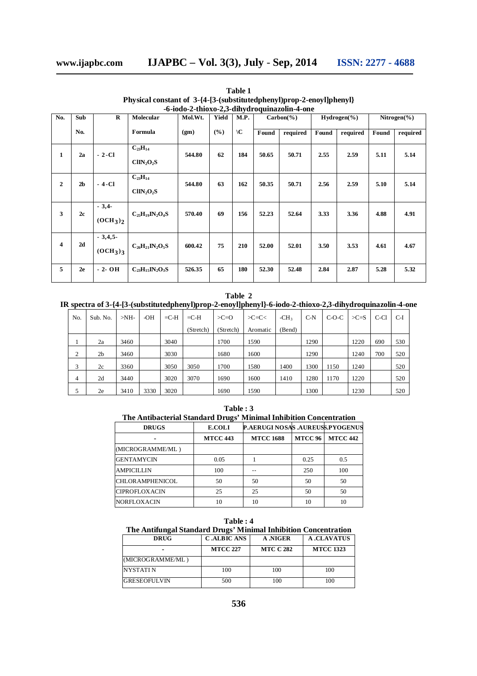| No.            | Sub            | $\bf{R}$                                     | Molecular                     | Mol.Wt. | Yield | M.P.          | $Carbon(\% )$ |          | $Hydrogen(\% )$ |          | Nitrogen $(\%)$ |          |
|----------------|----------------|----------------------------------------------|-------------------------------|---------|-------|---------------|---------------|----------|-----------------|----------|-----------------|----------|
|                | No.            |                                              | Formula                       | (gm)    | (%)   | $\setminus C$ | Found         | required | Found           | required | Found           | required |
| 1              | 2a             | $-2$ -Cl                                     | $C_{23}H_{14}$<br>$CID_2O_2S$ | 544.80  | 62    | 184           | 50.65         | 50.71    | 2.55            | 2.59     | 5.11            | 5.14     |
| $\overline{2}$ | 2 <sub>b</sub> | - 4-Cl                                       | $C_{23}H_{14}$<br>$CID_2O_2S$ | 544.80  | 63    | 162           | 50.35         | 50.71    | 2.56            | 2.59     | 5.10            | 5.14     |
| 3              | 2c             | $-3,4$<br>(OCH <sub>3</sub> ) <sub>2</sub>   | $C_{25}H_{19}IN_2O_4S$        | 570.40  | 69    | 156           | 52.23         | 52.64    | 3.33            | 3.36     | 4.88            | 4.91     |
| 4              | 2d             | $-3,4,5$<br>(OCH <sub>3</sub> ) <sub>3</sub> | $C_{26}H_{21}IN_2O_5S$        | 600.42  | 75    | 210           | 52.00         | 52.01    | 3.50            | 3.53     | 4.61            | 4.67     |
| 5              | 2e             | $-2-OH$                                      | $C_{23}H_{15}IN_2O_3S$        | 526.35  | 65    | 180           | 52.30         | 52.48    | 2.84            | 2.87     | 5.28            | 5.32     |

**Table 1 Physical constant of 3-{4-[3-(substitutedphenyl)prop-2-enoyl]phenyl} -6-iodo-2-thioxo-2,3-dihydroquinazolin-4-one**

#### **Table 2**

**IR spectra of 3-{4-[3-(substitutedphenyl)prop-2-enoyl]phenyl}-6-iodo-2-thioxo-2,3-dihydroquinazolin-4-one**

| No. | Sub. No.       | $>NH-$ | -OH  | $=$ C-H | $=$ C-H   | $>C=O$    | $>C=C<$  | $-CH3$ | $C-N$ | $C-O-C$ | $>C=$ S | C-Cl | $C-I$ |
|-----|----------------|--------|------|---------|-----------|-----------|----------|--------|-------|---------|---------|------|-------|
|     |                |        |      |         | (Stretch) | (Stretch) | Aromatic | (Bend) |       |         |         |      |       |
|     | 2a             | 3460   |      | 3040    |           | 1700      | 1590     |        | 1290  |         | 1220    | 690  | 530   |
| ◠   | 2 <sub>b</sub> | 3460   |      | 3030    |           | 1680      | 1600     |        | 1290  |         | 1240    | 700  | 520   |
| 3   | 2c             | 3360   |      | 3050    | 3050      | 1700      | 1580     | 1400   | 1300  | 1150    | 1240    |      | 520   |
| 4   | 2d             | 3440   |      | 3020    | 3070      | 1690      | 1600     | 1410   | 1280  | 1170    | 1220    |      | 520   |
|     | 2e             | 3410   | 3330 | 3020    |           | 1690      | 1590     |        | 1300  |         | 1230    |      | 520   |

**Table : 3 The Antibacterial Standard Drugs' Minimal Inhibition Concentration**

| <b>DRUGS</b>           | <b>E.COLI</b>   | P.AERUGI NOSAS .AUREUSS.PYOGENUS |                |                 |
|------------------------|-----------------|----------------------------------|----------------|-----------------|
|                        | <b>MTCC 443</b> | <b>MTCC 1688</b>                 | <b>MTCC 96</b> | <b>MTCC 442</b> |
| (MICROGRAMME/ML)       |                 |                                  |                |                 |
| <b>GENTAMYCIN</b>      | 0.05            |                                  | 0.25           | 0.5             |
| <b>AMPICILLIN</b>      | 100             |                                  | 250            | 100             |
| <b>CHLORAMPHENICOL</b> | 50              | 50                               | 50             | 50              |
| <b>CIPROFLOXACIN</b>   | 25              | 25                               | 50             | 50              |
| <b>NORFLOXACIN</b>     | 10              | 10                               | 10             | 10              |

**Table : 4 The Antifungal Standard Drugs' Minimal Inhibition Concentration**

| <b>DRUG</b>         | <b>C.ALBIC ANS</b> | A .NIGER         | <b>A .CLAVATUS</b> |
|---------------------|--------------------|------------------|--------------------|
|                     | <b>MTCC 227</b>    | <b>MTC C 282</b> | <b>MTCC 1323</b>   |
| (MICROGRAMME/ML)    |                    |                  |                    |
| <b>NYSTATI N</b>    | 100                | 100              | 100                |
| <b>GRESEOFULVIN</b> | 500                | 100              | 100                |